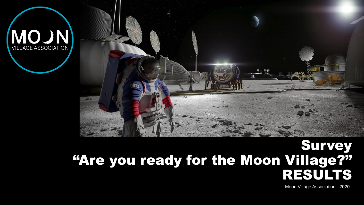



#### Survey "Are you ready for the Moon Village?" RESULTS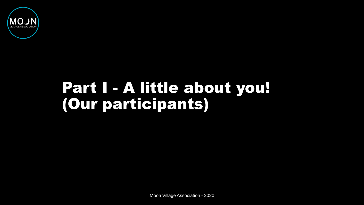

# Part I - A little about you! (Our participants)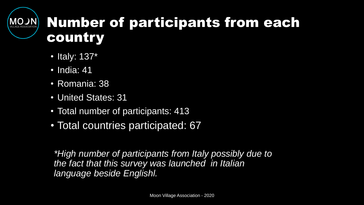## Number of participants from each country

- Italy: 137\*
- India: 41
- Romania: 38
- United States: 31
- Total number of participants: 413
- Total countries participated: 67

*\*High number of participants from Italy possibly due to the fact that this survey was launched in Italian language beside Englishl.*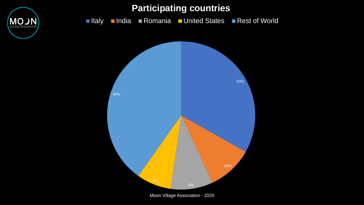

**VILLAGE AS**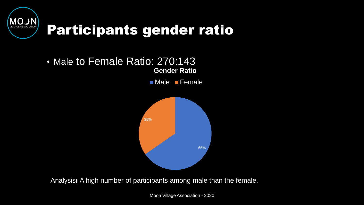

### Participants gender ratio

#### • Male to Female Ratio: 270:143 **Gender Ratio**

**Male** Female



Analysis: A high number of participants among male than the female.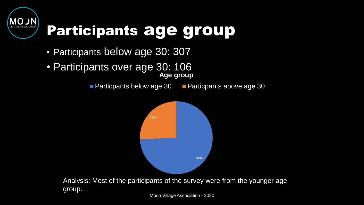

# Participants age group

- Participants below age 30: 307
- Participants over age 30: 106 **Age group**

group.

**Particpants below age 30 Particpants above age 30** 

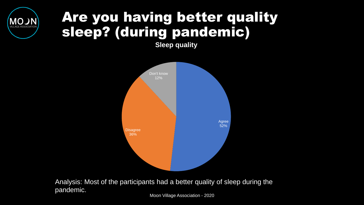#### Are you having better quality sleep? (during pandemic)

**Sleep quality**



Analysis: Most of the participants had a better quality of sleep during the pandemic.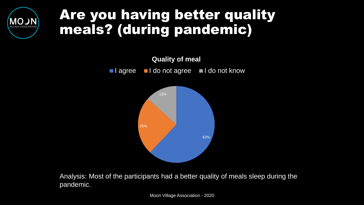#### Are you having better quality meals? (during pandemic)



Analysis: Most of the participants had a better quality of meals sleep during the pandemic.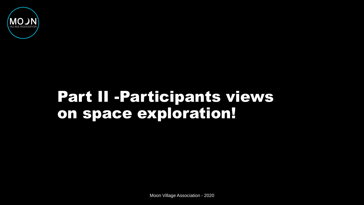

## Part II -Participants views on space exploration!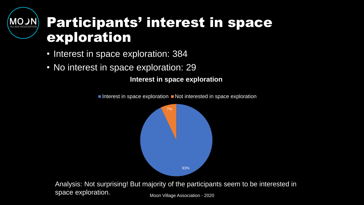#### Participants' interest in space exploration

- Interest in space exploration: 384
- No interest in space exploration: 29

**Interest in space exploration**

Interest in space exploration  $\blacksquare$  Not interested in space exploration



Moon Village Association - 2020 Analysis: Not surprising! But majority of the participants seem to be interested in space exploration.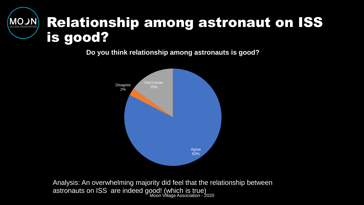#### Relationship among astronaut on ISS **NCOM** is good?

**Do you think relationship among astronauts is good?**



Moon Village Association - 2020 Analysis: An overwhelming majority did feel that the relationship between astronauts on ISS are indeed good! (which is true)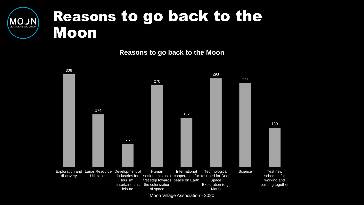

**Reasons to go back to the Moon**

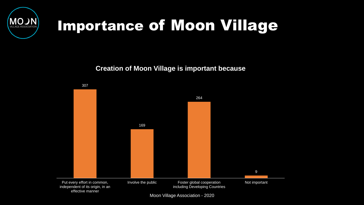

# Importance of Moon Village

**Creation of Moon Village is important because**

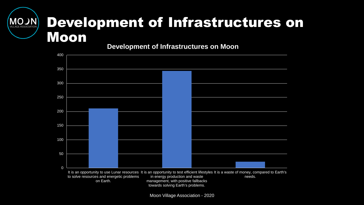#### Development of Infrastructures on **MOJN** Moon

**Development of Infrastructures on Moon**